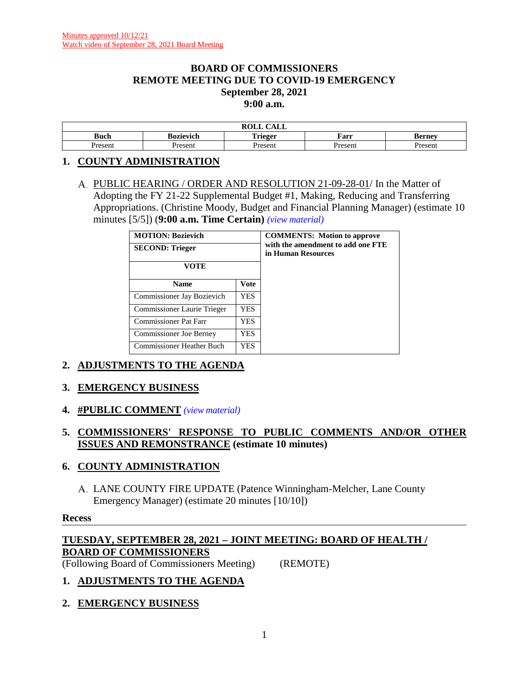#### **BOARD OF COMMISSIONERS REMOTE MEETING DUE TO COVID-19 EMERGENCY September 28, 2021 9:00 a.m.**

|               |                     | $\sim$ $\sim$ $\sim$<br>$\mathbf{r} \wedge \mathbf{r}$<br>NVLL<br>САЫС |                 |        |
|---------------|---------------------|------------------------------------------------------------------------|-----------------|--------|
| <b>Buch</b>   | Bozievich           | . .<br>t rieger<br>                                                    | Farr            | sernev |
| Jracan<br>эсп | Presen <sup>*</sup> | Presen                                                                 | Jrocon:<br>esen | Jrocon |

## **1. COUNTY ADMINISTRATION**

A. PUBLIC HEARING / ORDER AND RESOLUTION 21-09-28-01/ In the Matter of Adopting the FY 21-22 Supplemental Budget #1, Making, Reducing and Transferring Appropriations. (Christine Moody, Budget and Financial Planning Manager) (estimate 10 minutes [5/5]) (**9:00 a.m. Time Certain)** *(view [material\)](http://www.lanecountyor.gov/UserFiles/Servers/Server_3585797/File/Government/BCC/2021/2021_AGENDAS/092821agenda/T.1.A.pdf)*

| <b>MOTION: Bozievich</b><br><b>SECOND: Trieger</b><br>VOTE |             | <b>COMMENTS:</b> Motion to approve<br>with the amendment to add one FTE<br>in Human Resources |
|------------------------------------------------------------|-------------|-----------------------------------------------------------------------------------------------|
| <b>Name</b>                                                | <b>Vote</b> |                                                                                               |
| Commissioner Jay Bozievich                                 | <b>YES</b>  |                                                                                               |
| Commissioner Laurie Trieger                                | YES.        |                                                                                               |
| <b>Commissioner Pat Farr</b>                               | YES.        |                                                                                               |
| <b>Commissioner Joe Berney</b>                             | <b>YES</b>  |                                                                                               |
| <b>Commissioner Heather Buch</b>                           | YES         |                                                                                               |

# **2. ADJUSTMENTS TO THE AGENDA**

## **3. EMERGENCY BUSINESS**

**4. #PUBLIC COMMENT** *(view [material\)](http://www.lanecountyor.gov/UserFiles/Servers/Server_3585797/File/Government/BCC/2021/2021_AGENDAS/092821agenda/T.4.pdf)*

## **5. COMMISSIONERS' RESPONSE TO PUBLIC COMMENTS AND/OR OTHER ISSUES AND REMONSTRANCE (estimate 10 minutes)**

#### **6. COUNTY ADMINISTRATION**

LANE COUNTY FIRE UPDATE (Patence Winningham-Melcher, Lane County Emergency Manager) (estimate 20 minutes [10/10])

#### **Recess**

## **TUESDAY, SEPTEMBER 28, 2021 – JOINT MEETING: BOARD OF HEALTH / BOARD OF COMMISSIONERS**

(Following Board of Commissioners Meeting) (REMOTE)

## **1. ADJUSTMENTS TO THE AGENDA**

**2. EMERGENCY BUSINESS**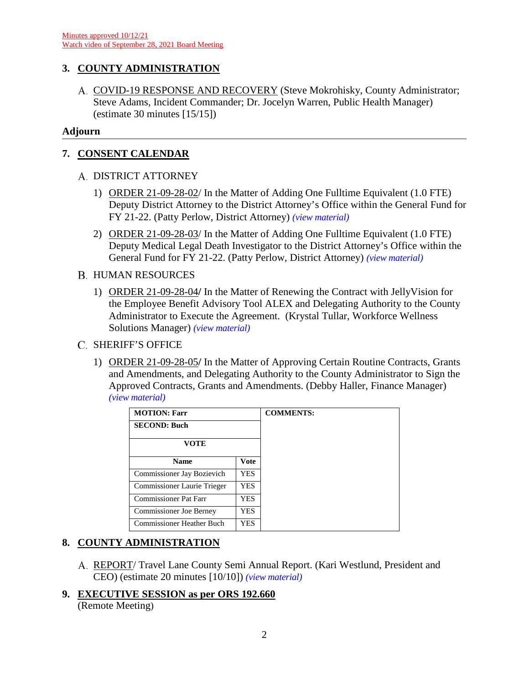# **3. COUNTY ADMINISTRATION**

A. COVID-19 RESPONSE AND RECOVERY (Steve Mokrohisky, County Administrator; Steve Adams, Incident Commander; Dr. Jocelyn Warren, Public Health Manager) (estimate 30 minutes [15/15])

#### **Adjourn**

## **7. CONSENT CALENDAR**

## A. DISTRICT ATTORNEY

- 1) ORDER 21-09-28-02/ In the Matter of Adding One Fulltime Equivalent (1.0 FTE) Deputy District Attorney to the District Attorney's Office within the General Fund for FY 21-22. (Patty Perlow, District Attorney) *(view [material\)](http://www.lanecountyor.gov/UserFiles/Servers/Server_3585797/File/Government/BCC/2021/2021_AGENDAS/092821agenda/T.7.B.1.pdf)*
- 2) ORDER 21-09-28-03/ In the Matter of Adding One Fulltime Equivalent (1.0 FTE) Deputy Medical Legal Death Investigator to the District Attorney's Office within the General Fund for FY 21-22. (Patty Perlow, District Attorney) *(view [material\)](http://www.lanecountyor.gov/UserFiles/Servers/Server_3585797/File/Government/BCC/2021/2021_AGENDAS/092821agenda/T.7.B.2.pdf)*

## **B. HUMAN RESOURCES**

1) ORDER 21-09-28-04**/** In the Matter of Renewing the Contract with JellyVision for the Employee Benefit Advisory Tool ALEX and Delegating Authority to the County Administrator to Execute the Agreement. (Krystal Tullar, Workforce Wellness Solutions Manager) *(view [material\)](http://www.lanecountyor.gov/UserFiles/Servers/Server_3585797/File/Government/BCC/2021/2021_AGENDAS/092821agenda/T.7.C.1.pdf)*

## C. SHERIFF'S OFFICE

1) ORDER 21-09-28-05**/** In the Matter of Approving Certain Routine Contracts, Grants and Amendments, and Delegating Authority to the County Administrator to Sign the Approved Contracts, Grants and Amendments. (Debby Haller, Finance Manager) *(view [material\)](http://www.lanecountyor.gov/UserFiles/Servers/Server_3585797/File/Government/BCC/2021/2021_AGENDAS/092821agenda/T.7.D.1.pdf)*

| <b>MOTION: Farr</b>              |             | <b>COMMENTS:</b> |
|----------------------------------|-------------|------------------|
| <b>SECOND: Buch</b>              |             |                  |
| <b>VOTE</b>                      |             |                  |
| <b>Name</b>                      | <b>Vote</b> |                  |
| Commissioner Jay Bozievich       | <b>YES</b>  |                  |
| Commissioner Laurie Trieger      | <b>YES</b>  |                  |
| Commissioner Pat Farr            | <b>YES</b>  |                  |
| <b>Commissioner Joe Berney</b>   | <b>YES</b>  |                  |
| <b>Commissioner Heather Buch</b> | <b>YES</b>  |                  |

## **8. COUNTY ADMINISTRATION**

- REPORT/ Travel Lane County Semi Annual Report. (Kari Westlund, President and CEO) (estimate 20 minutes [10/10]) *(view [material\)](http://www.lanecountyor.gov/UserFiles/Servers/Server_3585797/File/Government/BCC/2021/2021_AGENDAS/092821agenda/T.8.A.pdf)*
- **9. EXECUTIVE SESSION as per ORS 192.660** (Remote Meeting)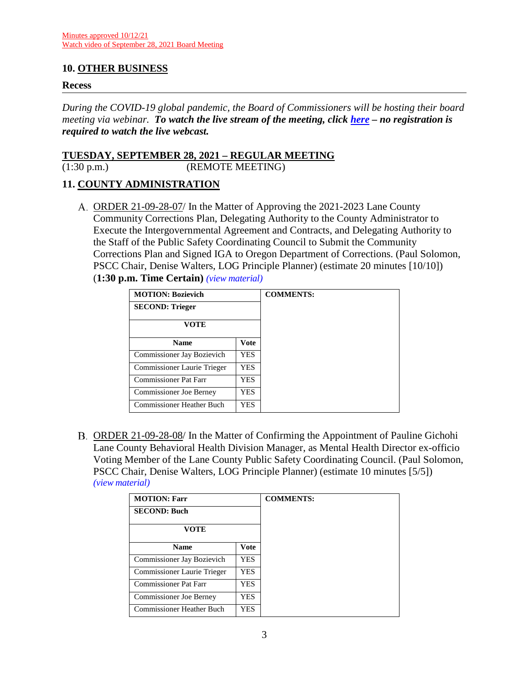## **10. OTHER BUSINESS**

#### **Recess**

*During the COVID-19 global pandemic, the Board of Commissioners will be hosting their board meeting via webinar. To watch the live stream of the meeting, click [here](https://lanecounty.org/cms/One.aspx?portalId=3585881&pageId=7842434) – no registration is required to watch the live webcast.* 

#### **TUESDAY, SEPTEMBER 28, 2021 – REGULAR MEETING**

(1:30 p.m.) (REMOTE MEETING)

## **11. COUNTY ADMINISTRATION**

ORDER 21-09-28-07/ In the Matter of Approving the 2021-2023 Lane County Community Corrections Plan, Delegating Authority to the County Administrator to Execute the Intergovernmental Agreement and Contracts, and Delegating Authority to the Staff of the Public Safety Coordinating Council to Submit the Community Corrections Plan and Signed IGA to Oregon Department of Corrections. (Paul Solomon, PSCC Chair, Denise Walters, LOG Principle Planner) (estimate 20 minutes [10/10]) (**1:30 p.m. Time Certain)** *(view [material\)](http://www.lanecountyor.gov/UserFiles/Servers/Server_3585797/File/Government/BCC/2021/2021_AGENDAS/092821agenda/T.12.A.pdf)*

| <b>MOTION: Bozievich</b><br><b>SECOND: Trieger</b> |            | <b>COMMENTS:</b> |
|----------------------------------------------------|------------|------------------|
| VOTE                                               |            |                  |
| <b>Name</b>                                        | Vote       |                  |
| Commissioner Jay Bozievich                         | YES.       |                  |
| Commissioner Laurie Trieger                        | <b>YES</b> |                  |
| <b>Commissioner Pat Farr</b>                       | YES        |                  |
| <b>Commissioner Joe Berney</b>                     | YES        |                  |
| Commissioner Heather Buch                          | <b>YES</b> |                  |

B. ORDER 21-09-28-08/ In the Matter of Confirming the Appointment of Pauline Gichohi Lane County Behavioral Health Division Manager, as Mental Health Director ex-officio Voting Member of the Lane County Public Safety Coordinating Council. (Paul Solomon, PSCC Chair, Denise Walters, LOG Principle Planner) (estimate 10 minutes [5/5]) *(view [material\)](http://www.lanecountyor.gov/UserFiles/Servers/Server_3585797/File/Government/BCC/2021/2021_AGENDAS/092821agenda/T.12.B.pdf)*

| <b>MOTION: Farr</b>              |             | <b>COMMENTS:</b> |
|----------------------------------|-------------|------------------|
| <b>SECOND: Buch</b>              |             |                  |
| <b>VOTE</b>                      |             |                  |
| <b>Name</b>                      | <b>Vote</b> |                  |
| Commissioner Jay Bozievich       | YES         |                  |
| Commissioner Laurie Trieger      | YES.        |                  |
| <b>Commissioner Pat Farr</b>     | YES         |                  |
| <b>Commissioner Joe Berney</b>   | YES.        |                  |
| <b>Commissioner Heather Buch</b> | YES         |                  |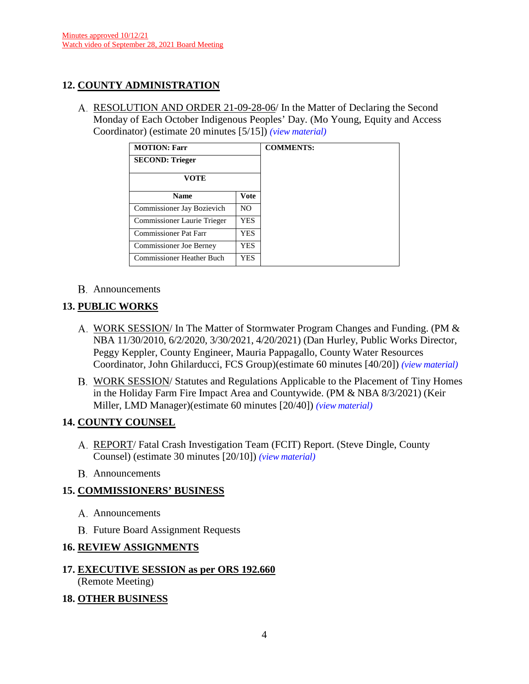# **12. COUNTY ADMINISTRATION**

RESOLUTION AND ORDER 21-09-28-06/ In the Matter of Declaring the Second Monday of Each October Indigenous Peoples' Day. (Mo Young, Equity and Access Coordinator) (estimate 20 minutes [5/15]) *(view [material\)](http://www.lanecountyor.gov/UserFiles/Servers/Server_3585797/File/Government/BCC/2021/2021_AGENDAS/092821agenda/T.8.B.pdf)*

| <b>MOTION: Farr</b>              |                |
|----------------------------------|----------------|
| <b>SECOND: Trieger</b>           |                |
| VOTE                             |                |
| <b>Name</b>                      | <b>Vote</b>    |
| Commissioner Jay Bozievich       | N <sub>O</sub> |
| Commissioner Laurie Trieger      | <b>YES</b>     |
| Commissioner Pat Farr            | <b>YES</b>     |
| <b>Commissioner Joe Berney</b>   | <b>YES</b>     |
| <b>Commissioner Heather Buch</b> | YES            |

## Announcements

# **13. PUBLIC WORKS**

- A. WORK SESSION/ In The Matter of Stormwater Program Changes and Funding. (PM & NBA 11/30/2010, 6/2/2020, 3/30/2021, 4/20/2021) (Dan Hurley, Public Works Director, Peggy Keppler, County Engineer, Mauria Pappagallo, County Water Resources Coordinator, John Ghilarducci, FCS Group)(estimate 60 minutes [40/20]) *(view [material\)](http://www.lanecountyor.gov/UserFiles/Servers/Server_3585797/File/Government/BCC/2021/2021_AGENDAS/092821agenda/T.13.A.pdf)*
- WORK SESSION/ Statutes and Regulations Applicable to the Placement of Tiny Homes in the Holiday Farm Fire Impact Area and Countywide. (PM & NBA 8/3/2021) (Keir Miller, LMD Manager)(estimate 60 minutes [20/40]) *(view [material\)](http://www.lanecountyor.gov/UserFiles/Servers/Server_3585797/File/Government/BCC/2021/2021_AGENDAS/092821agenda/T.13.B.pdf)*

# **14. COUNTY COUNSEL**

- REPORT/ Fatal Crash Investigation Team (FCIT) Report. (Steve Dingle, County Counsel) (estimate 30 minutes [20/10]) *(view [material\)](http://www.lanecountyor.gov/UserFiles/Servers/Server_3585797/File/Government/BCC/2021/2021_AGENDAS/092821agenda/T.9.A.pdf)*
- B. Announcements

# **15. COMMISSIONERS' BUSINESS**

- A. Announcements
- **B.** Future Board Assignment Requests

# **16. REVIEW ASSIGNMENTS**

# **17. EXECUTIVE SESSION as per ORS 192.660** (Remote Meeting)

# **18. OTHER BUSINESS**